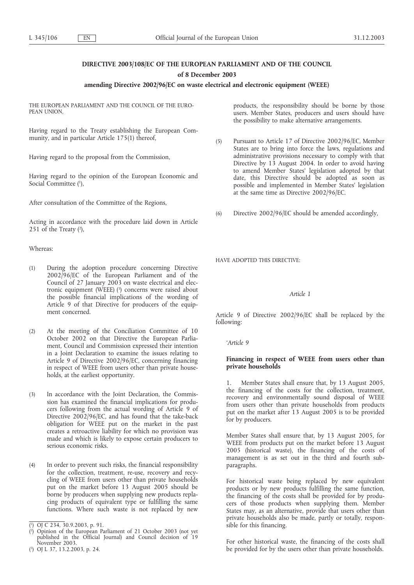# **DIRECTIVE 2003/108/EC OF THE EUROPEAN PARLIAMENT AND OF THE COUNCIL of 8 December 2003**

### **amending Directive 2002/96/EC on waste electrical and electronic equipment (WEEE)**

THE EUROPEAN PARLIAMENT AND THE COUNCIL OF THE EURO-PEAN UNION,

Having regard to the Treaty establishing the European Community, and in particular Article 175(1) thereof,

Having regard to the proposal from the Commission,

Having regard to the opinion of the European Economic and Social Committee (1),

After consultation of the Committee of the Regions,

Acting in accordance with the procedure laid down in Article 251 of the Treaty  $(2)$ ,

#### Whereas:

- (1) During the adoption procedure concerning Directive 2002/96/EC of the European Parliament and of the Council of 27 January 2003 on waste electrical and electronic equipment (WEEE) (3 ) concerns were raised about the possible financial implications of the wording of Article 9 of that Directive for producers of the equipment concerned.
- (2) At the meeting of the Conciliation Committee of 10 October 2002 on that Directive the European Parliament, Council and Commission expressed their intention in a Joint Declaration to examine the issues relating to Article 9 of Directive 2002/96/EC, concerning financing in respect of WEEE from users other than private households, at the earliest opportunity.
- (3) In accordance with the Joint Declaration, the Commission has examined the financial implications for producers following from the actual wording of Article 9 of Directive 2002/96/EC, and has found that the take-back obligation for WEEE put on the market in the past creates a retroactive liability for which no provision was made and which is likely to expose certain producers to serious economic risks.
- (4) In order to prevent such risks, the financial responsibility for the collection, treatment, re-use, recovery and recycling of WEEE from users other than private households put on the market before 13 August 2005 should be borne by producers when supplying new products replacing products of equivalent type or fulfilling the same functions. Where such waste is not replaced by new

products, the responsibility should be borne by those users. Member States, producers and users should have the possibility to make alternative arrangements.

- (5) Pursuant to Article 17 of Directive 2002/96/EC, Member States are to bring into force the laws, regulations and administrative provisions necessary to comply with that Directive by 13 August 2004. In order to avoid having to amend Member States' legislation adopted by that date, this Directive should be adopted as soon as possible and implemented in Member States' legislation at the same time as Directive 2002/96/EC.
- (6) Directive 2002/96/EC should be amended accordingly,

HAVE ADOPTED THIS DIRECTIVE:

## *Article 1*

Article 9 of Directive 2002/96/EC shall be replaced by the following:

*'Article 9*

## **Financing in respect of WEEE from users other than private households**

1. Member States shall ensure that, by 13 August 2005, the financing of the costs for the collection, treatment, recovery and environmentally sound disposal of WEEE from users other than private households from products put on the market after 13 August 2005 is to be provided for by producers.

Member States shall ensure that, by 13 August 2005, for WEEE from products put on the market before 13 August 2005 (historical waste), the financing of the costs of management is as set out in the third and fourth subparagraphs.

For historical waste being replaced by new equivalent products or by new products fulfilling the same function, the financing of the costs shall be provided for by producers of those products when supplying them. Member States may, as an alternative, provide that users other than private households also be made, partly or totally, responsible for this financing.

For other historical waste, the financing of the costs shall be provided for by the users other than private households.

<sup>(</sup> 1 ) OJ C 234, 30.9.2003, p. 91.

<sup>(</sup> 2 ) Opinion of the European Parliament of 21 October 2003 (not yet published in the Official Journal) and Council decision of 19 November 2003.

<sup>(</sup> 3 ) OJ L 37, 13.2.2003, p. 24.